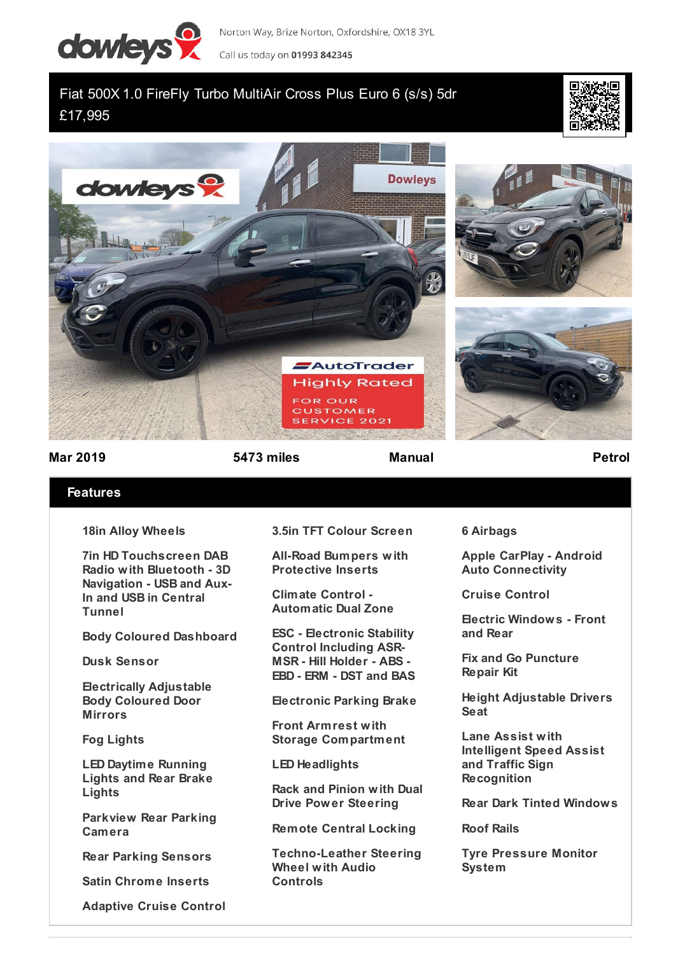

Norton Way, Brize Norton, Oxfordshire, OX18 3YL Call us today on 01993 842345

## Fiat 500X 1.0 FireFly Turbo MultiAir Cross Plus Euro 6 (s/s) 5dr £17,995





**Mar 2019 5473 miles Manual Petrol**

## **Features**

**18in Alloy Wheels**

**7in HD Touchscreen DAB Radio with Bluetooth - 3D Navigation - USB and Aux-In and USB in Central Tunnel**

**Body Coloured Dashboard**

**Dusk Sensor**

**Electrically Adjustable Body Coloured Door Mirrors**

**Fog Lights**

**LED Daytime Running Lights and Rear Brake Lights**

**Parkview Rear Parking Camera**

**Rear Parking Sensors**

**Satin Chrome Inserts**

**Adaptive Cruise Control**

**3.5in TFT Colour Screen**

**All-Road Bumpers with Protective Inserts**

**Climate Control - Automatic Dual Zone**

**ESC - Electronic Stability Control Including ASR-MSR - Hill Holder - ABS - EBD - ERM - DST and BAS**

**Electronic Parking Brake**

**Front Armrest with Storage Compartment**

**LED Headlights**

**Rack and Pinion with Dual Drive Power Steering**

**Remote Central Locking**

**Techno-Leather Steering Wheel with Audio Controls**

**6 Airbags**

**Apple CarPlay - Android Auto Connectivity**

**Cruise Control**

**Electric Windows - Front and Rear**

**Fix and Go Puncture Repair Kit**

**Height Adjustable Drivers Seat**

**Lane Assist with Intelligent Speed Assist and Traffic Sign Recognition**

**Rear Dark Tinted Windows**

**Roof Rails**

**Tyre Pressure Monitor System**